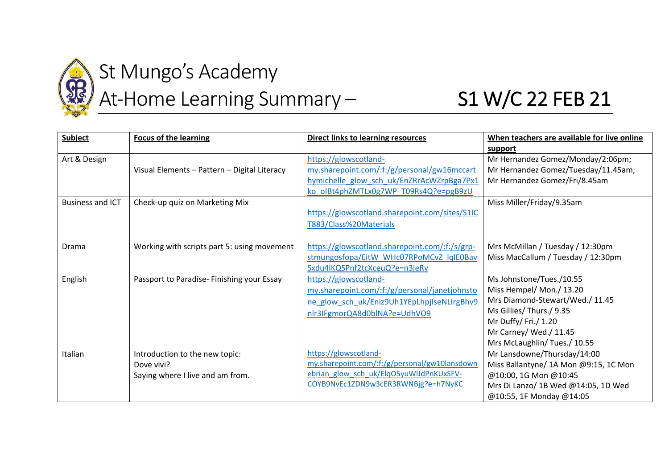

## St Mungo's Academy

## At-Home Learning Summary - S1 W/C 22 FEB 21

| <b>Subject</b>          | <b>Focus of the learning</b>                 | <b>Direct links to learning resources</b>      | When teachers are available for live online |
|-------------------------|----------------------------------------------|------------------------------------------------|---------------------------------------------|
|                         |                                              |                                                | support                                     |
| Art & Design            |                                              | https://glowscotland-                          | Mr Hernandez Gomez/Monday/2:06pm;           |
|                         | Visual Elements - Pattern - Digital Literacy | my.sharepoint.com/:f:/g/personal/gw16mccart    | Mr Hernandez Gomez/Tuesday/11.45am;         |
|                         |                                              | hymichelle glow sch uk/EnZRrAcWZrpBga7Px1      | Mr Hernandez Gomez/Fri/8.45am               |
|                         |                                              | ko oIBt4phZMTLx0g7WP T09Rs4Q?e=pgB9zU          |                                             |
| <b>Business and ICT</b> | Check-up quiz on Marketing Mix               |                                                | Miss Miller/Friday/9.35am                   |
|                         |                                              | https://glowscotland.sharepoint.com/sites/S1IC |                                             |
|                         |                                              | T883/Class%20Materials                         |                                             |
|                         |                                              |                                                |                                             |
| Drama                   | Working with scripts part 5: using movement  | https://glowscotland.sharepoint.com/:f:/s/grp- | Mrs McMillan / Tuesday / 12:30pm            |
|                         |                                              | stmungosfopa/EitW_WHc07RPoMCvZ_lqlE0Bav        | Miss MacCallum / Tuesday / 12:30pm          |
|                         |                                              | Sxdu4lKQSPnf2tcXceuQ?e=n3jeRv                  |                                             |
| English                 | Passport to Paradise-Finishing your Essay    | https://glowscotland-                          | Ms Johnstone/Tues./10.55                    |
|                         |                                              | my.sharepoint.com/:f:/g/personal/janetjohnsto  | Miss Hempel/ Mon./ 13.20                    |
|                         |                                              | ne glow sch uk/Eniz9Uh1YEpLhpjIseNLIrgBhv9     | Mrs Diamond-Stewart/Wed./ 11.45             |
|                         |                                              | nlr3IFgmorQA8d0blNA?e=UdhVO9                   | Ms Gillies/ Thurs./ 9.35                    |
|                         |                                              |                                                | Mr Duffy/Fri./ 1.20                         |
|                         |                                              |                                                | Mr Carney/ Wed./ 11.45                      |
|                         |                                              |                                                | Mrs McLaughlin/Tues./ 10.55                 |
| Italian                 | Introduction to the new topic:               | https://glowscotland-                          | Mr Lansdowne/Thursday/14:00                 |
|                         | Dove vivi?                                   | my.sharepoint.com/:f:/g/personal/gw10lansdown  | Miss Ballantyne/ 1A Mon @9:15, 1C Mon       |
|                         | Saying where I live and am from.             | ebrian glow sch uk/ElqO5yuWlJdPnKUxSFV-        | @10:00, 1G Mon @10:45                       |
|                         |                                              | COYB9NvEc1ZDN9w3cER3RWNBjg?e=h7NyKC            | Mrs Di Lanzo/ 1B Wed @14:05, 1D Wed         |
|                         |                                              |                                                | @10:55, 1F Monday @14:05                    |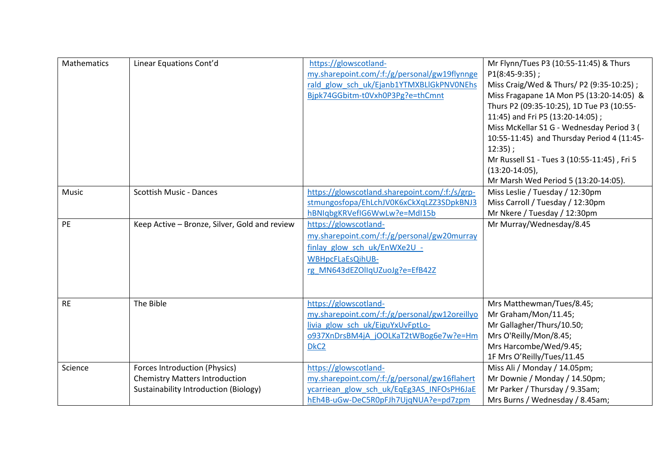| Mathematics | Linear Equations Cont'd                                                                                         | https://glowscotland-<br>my.sharepoint.com/:f:/g/personal/gw19flynnge<br>rald glow sch uk/Ejanb1YTMXBLIGkPNV0NEhs<br>Bjpk74GGbitm-t0Vxh0P3Pg?e=thCmnt                   | Mr Flynn/Tues P3 (10:55-11:45) & Thurs<br>$P1(8:45-9:35)$ ;<br>Miss Craig/Wed & Thurs/ P2 (9:35-10:25);<br>Miss Fragapane 1A Mon P5 (13:20-14:05) &<br>Thurs P2 (09:35-10:25), 1D Tue P3 (10:55-<br>11:45) and Fri P5 (13:20-14:05);<br>Miss McKellar S1 G - Wednesday Period 3 (<br>10:55-11:45) and Thursday Period 4 (11:45-<br>$12:35$ ;<br>Mr Russell S1 - Tues 3 (10:55-11:45), Fri 5<br>$(13:20-14:05)$ ,<br>Mr Marsh Wed Period 5 (13:20-14:05). |
|-------------|-----------------------------------------------------------------------------------------------------------------|-------------------------------------------------------------------------------------------------------------------------------------------------------------------------|----------------------------------------------------------------------------------------------------------------------------------------------------------------------------------------------------------------------------------------------------------------------------------------------------------------------------------------------------------------------------------------------------------------------------------------------------------|
| Music       | <b>Scottish Music - Dances</b>                                                                                  | https://glowscotland.sharepoint.com/:f:/s/grp-<br>stmungosfopa/EhLchJV0K6xCkXqLZZ3SDpkBNJ3<br>hBNIqbgKRVefIG6WwLw?e=MdI15b                                              | Miss Leslie / Tuesday / 12:30pm<br>Miss Carroll / Tuesday / 12:30pm<br>Mr Nkere / Tuesday / 12:30pm                                                                                                                                                                                                                                                                                                                                                      |
| PE          | Keep Active - Bronze, Silver, Gold and review                                                                   | https://glowscotland-<br>my.sharepoint.com/:f:/g/personal/gw20murray<br>finlay glow sch uk/EnWXe2U -<br>WBHpcFLaEsQihUB-<br>rg MN643dEZOllqUZuoJg?e=EfB42Z              | Mr Murray/Wednesday/8.45                                                                                                                                                                                                                                                                                                                                                                                                                                 |
| <b>RE</b>   | The Bible                                                                                                       | https://glowscotland-<br>my.sharepoint.com/:f:/g/personal/gw12oreillyo<br>livia glow sch uk/EiguYxUvFptLo-<br>0937XnDrsBM4jA jOOLKaT2tWBog6e7w?e=Hm<br>DkC <sub>2</sub> | Mrs Matthewman/Tues/8.45;<br>Mr Graham/Mon/11.45;<br>Mr Gallagher/Thurs/10.50;<br>Mrs O'Reilly/Mon/8.45;<br>Mrs Harcombe/Wed/9.45;<br>1F Mrs O'Reilly/Tues/11.45                                                                                                                                                                                                                                                                                         |
| Science     | Forces Introduction (Physics)<br><b>Chemistry Matters Introduction</b><br>Sustainability Introduction (Biology) | https://glowscotland-<br>my.sharepoint.com/:f:/g/personal/gw16flahert<br>ycarriean glow sch uk/EqEg3AS INFOsPH6JaE<br>hEh4B-uGw-DeC5R0pFJh7UjqNUA?e=pd7zpm              | Miss Ali / Monday / 14.05pm;<br>Mr Downie / Monday / 14.50pm;<br>Mr Parker / Thursday / 9.35am;<br>Mrs Burns / Wednesday / 8.45am;                                                                                                                                                                                                                                                                                                                       |